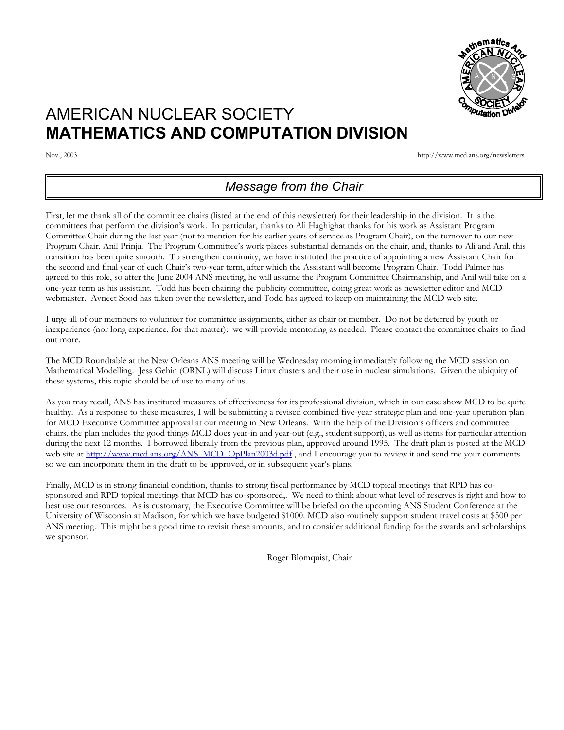

# AMERICAN NUCLEAR SOCIETY **MATHEMATICS AND COMPUTATION DIVISION**

Nov., 2003 http://www.mcd.ans.org/newsletters

# *Message from the Chair*

First, let me thank all of the committee chairs (listed at the end of this newsletter) for their leadership in the division. It is the committees that perform the division's work. In particular, thanks to Ali Haghighat thanks for his work as Assistant Program Committee Chair during the last year (not to mention for his earlier years of service as Program Chair), on the turnover to our new Program Chair, Anil Prinja. The Program Committee's work places substantial demands on the chair, and, thanks to Ali and Anil, this transition has been quite smooth. To strengthen continuity, we have instituted the practice of appointing a new Assistant Chair for the second and final year of each Chair's two-year term, after which the Assistant will become Program Chair. Todd Palmer has agreed to this role, so after the June 2004 ANS meeting, he will assume the Program Committee Chairmanship, and Anil will take on a one-year term as his assistant. Todd has been chairing the publicity committee, doing great work as newsletter editor and MCD webmaster. Avneet Sood has taken over the newsletter, and Todd has agreed to keep on maintaining the MCD web site.

I urge all of our members to volunteer for committee assignments, either as chair or member. Do not be deterred by youth or inexperience (nor long experience, for that matter): we will provide mentoring as needed. Please contact the committee chairs to find out more.

The MCD Roundtable at the New Orleans ANS meeting will be Wednesday morning immediately following the MCD session on Mathematical Modelling. Jess Gehin (ORNL) will discuss Linux clusters and their use in nuclear simulations. Given the ubiquity of these systems, this topic should be of use to many of us.

As you may recall, ANS has instituted measures of effectiveness for its professional division, which in our case show MCD to be quite healthy. As a response to these measures, I will be submitting a revised combined five-year strategic plan and one-year operation plan for MCD Executive Committee approval at our meeting in New Orleans. With the help of the Division's officers and committee chairs, the plan includes the good things MCD does year-in and year-out (e.g., student support), as well as items for particular attention during the next 12 months. I borrowed liberally from the previous plan, approved around 1995. The draft plan is posted at the MCD web site at [http://www.mcd.ans.org/ANS\\_MCD\\_OpPlan2003d.pdf](http://www.mcd.ans.org/ANS_MCD_OpPlan2003d.pdf), and I encourage you to review it and send me your comments so we can incorporate them in the draft to be approved, or in subsequent year's plans.

Finally, MCD is in strong financial condition, thanks to strong fiscal performance by MCD topical meetings that RPD has cosponsored and RPD topical meetings that MCD has co-sponsored,. We need to think about what level of reserves is right and how to best use our resources. As is customary, the Executive Committee will be briefed on the upcoming ANS Student Conference at the University of Wisconsin at Madison, for which we have budgeted \$1000. MCD also routinely support student travel costs at \$500 per ANS meeting. This might be a good time to revisit these amounts, and to consider additional funding for the awards and scholarships we sponsor.

Roger Blomquist, Chair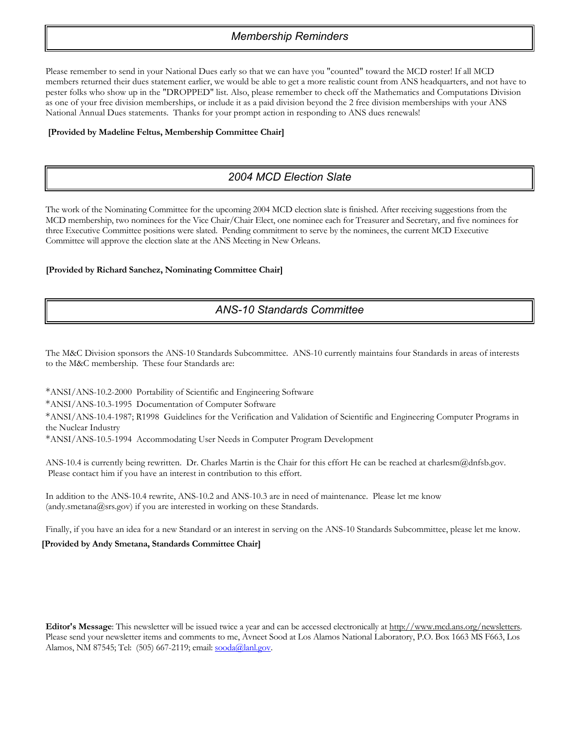### *Membership Reminders*

Please remember to send in your National Dues early so that we can have you "counted" toward the MCD roster! If all MCD members returned their dues statement earlier, we would be able to get a more realistic count from ANS headquarters, and not have to pester folks who show up in the "DROPPED" list. Also, please remember to check off the Mathematics and Computations Division as one of your free division memberships, or include it as a paid division beyond the 2 free division memberships with your ANS National Annual Dues statements. Thanks for your prompt action in responding to ANS dues renewals!

#### **[Provided by Madeline Feltus, Membership Committee Chair]**

# *2004 MCD Election Slate*

The work of the Nominating Committee for the upcoming 2004 MCD election slate is finished. After receiving suggestions from the MCD membership, two nominees for the Vice Chair/Chair Elect, one nominee each for Treasurer and Secretary, and five nominees for three Executive Committee positions were slated. Pending commitment to serve by the nominees, the current MCD Executive Committee will approve the election slate at the ANS Meeting in New Orleans.

#### **[Provided by Richard Sanchez, Nominating Committee Chair]**

# *ANS-10 Standards Committee*

The M&C Division sponsors the ANS-10 Standards Subcommittee. ANS-10 currently maintains four Standards in areas of interests to the M&C membership. These four Standards are:

\*ANSI/ANS-10.2-2000 Portability of Scientific and Engineering Software

\*ANSI/ANS-10.3-1995 Documentation of Computer Software

\*ANSI/ANS-10.4-1987; R1998 Guidelines for the Verification and Validation of Scientific and Engineering Computer Programs in the Nuclear Industry

\*ANSI/ANS-10.5-1994 Accommodating User Needs in Computer Program Development

ANS-10.4 is currently being rewritten. Dr. Charles Martin is the Chair for this effort He can be reached at charlesm@dnfsb.gov. Please contact him if you have an interest in contribution to this effort.

In addition to the ANS-10.4 rewrite, ANS-10.2 and ANS-10.3 are in need of maintenance. Please let me know (andy.smetana@srs.gov) if you are interested in working on these Standards.

Finally, if you have an idea for a new Standard or an interest in serving on the ANS-10 Standards Subcommittee, please let me know.

#### **[Provided by Andy Smetana, Standards Committee Chair]**

**Editor's Message**: This newsletter will be issued twice a year and can be accessed electronically at http://www.mcd.ans.org/newsletters. Please send your newsletter items and comments to me, Avneet Sood at Los Alamos National Laboratory, P.O. Box 1663 MS F663, Los Alamos, NM 87545; Tel: (505) 667-2119; email: [sooda@lanl.gov](mailto:sooda@lanl.gov).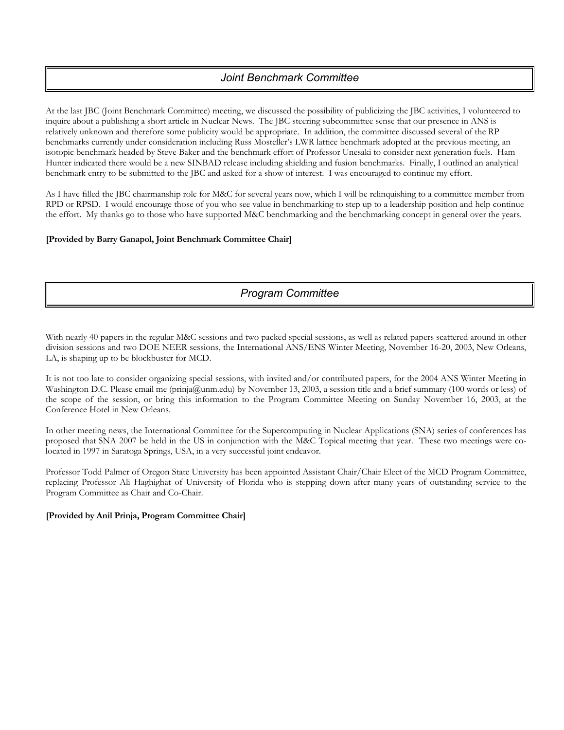# *Joint Benchmark Committee*

At the last JBC (Joint Benchmark Committee) meeting, we discussed the possibility of publicizing the JBC activities, I volunteered to inquire about a publishing a short article in Nuclear News. The JBC steering subcommittee sense that our presence in ANS is relatively unknown and therefore some publicity would be appropriate. In addition, the committee discussed several of the RP benchmarks currently under consideration including Russ Mosteller's LWR lattice benchmark adopted at the previous meeting, an isotopic benchmark headed by Steve Baker and the benchmark effort of Professor Unesaki to consider next generation fuels. Ham Hunter indicated there would be a new SINBAD release including shielding and fusion benchmarks. Finally, I outlined an analytical benchmark entry to be submitted to the JBC and asked for a show of interest. I was encouraged to continue my effort.

As I have filled the JBC chairmanship role for M&C for several years now, which I will be relinquishing to a committee member from RPD or RPSD. I would encourage those of you who see value in benchmarking to step up to a leadership position and help continue the effort. My thanks go to those who have supported M&C benchmarking and the benchmarking concept in general over the years.

#### **[Provided by Barry Ganapol, Joint Benchmark Committee Chair]**

# *Program Committee*

With nearly 40 papers in the regular M&C sessions and two packed special sessions, as well as related papers scattered around in other division sessions and two DOE NEER sessions, the International ANS/ENS Winter Meeting, November 16-20, 2003, New Orleans, LA, is shaping up to be blockbuster for MCD.

It is not too late to consider organizing special sessions, with invited and/or contributed papers, for the 2004 ANS Winter Meeting in Washington D.C. Please email me (prinja@unm.edu) by November 13, 2003, a session title and a brief summary (100 words or less) of the scope of the session, or bring this information to the Program Committee Meeting on Sunday November 16, 2003, at the Conference Hotel in New Orleans.

In other meeting news, the International Committee for the Supercomputing in Nuclear Applications (SNA) series of conferences has proposed that SNA 2007 be held in the US in conjunction with the M&C Topical meeting that year. These two meetings were colocated in 1997 in Saratoga Springs, USA, in a very successful joint endeavor.

Professor Todd Palmer of Oregon State University has been appointed Assistant Chair/Chair Elect of the MCD Program Committee, replacing Professor Ali Haghighat of University of Florida who is stepping down after many years of outstanding service to the Program Committee as Chair and Co-Chair.

#### **[Provided by Anil Prinja, Program Committee Chair]**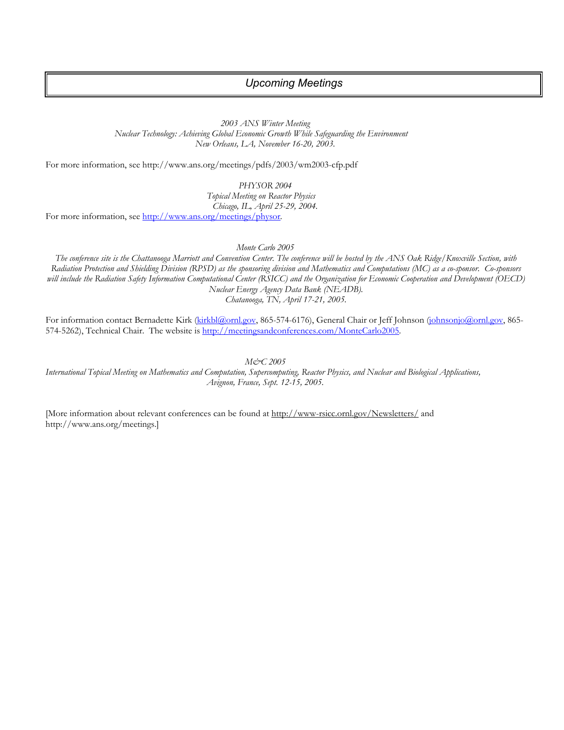#### *Upcoming Meetings*

*2003 ANS Winter Meeting Nuclear Technology: Achieving Global Economic Growth While Safeguarding the Environment New Orleans, LA, November 16-20, 2003.* 

For more information, see http://www.ans.org/meetings/pdfs/2003/wm2003-cfp.pdf

*PHYSOR 2004 Topical Meeting on Reactor Physics Chicago, IL, April 25-29, 2004.*  For more information, see <http://www.ans.org/meetings/physor>*.* 

*Monte Carlo 2005* 

*The conference site is the Chattanooga Marriott and Convention Center. The conference will be hosted by the ANS Oak Ridge/Knoxville Section, with Radiation Protection and Shielding Division (RPSD) as the sponsoring division and Mathematics and Computations (MC) as a co-sponsor. Co-sponsors will include the Radiation Safety Information Computational Center (RSICC) and the Organization for Economic Cooperation and Development (OECD) Nuclear Energy Agency Data Bank (NEADB). Chatanooga, TN, April 17-21, 2005.* 

For information contact Bernadette Kirk [\(kirkbl@ornl.gov,](mailto:kirkbl@ornl.gov) 865-574-6176), General Chair or Jeff Johnson [\(johnsonjo@ornl.gov](mailto:johnsonjo@ornl.gov), 865574-5262), Technical Chair. The website is <http://meetingsandconferences.com/MonteCarlo2005>.

*M&C 2005* 

*International Topical Meeting on Mathematics and Computation, Supercomputing, Reactor Physics, and Nuclear and Biological Applications, Avignon, France, Sept. 12-15, 2005.* 

[More information about relevant conferences can be found at http://www-rsicc.ornl.gov/Newsletters/ and http://www.ans.org/meetings.]